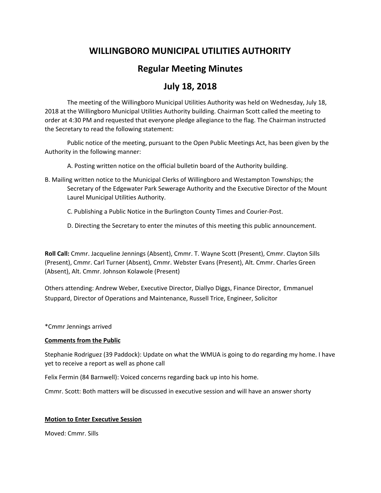# **WILLINGBORO MUNICIPAL UTILITIES AUTHORITY**

# **Regular Meeting Minutes**

# **July 18, 2018**

The meeting of the Willingboro Municipal Utilities Authority was held on Wednesday, July 18, 2018 at the Willingboro Municipal Utilities Authority building. Chairman Scott called the meeting to order at 4:30 PM and requested that everyone pledge allegiance to the flag. The Chairman instructed the Secretary to read the following statement:

Public notice of the meeting, pursuant to the Open Public Meetings Act, has been given by the Authority in the following manner:

A. Posting written notice on the official bulletin board of the Authority building.

- B. Mailing written notice to the Municipal Clerks of Willingboro and Westampton Townships; the Secretary of the Edgewater Park Sewerage Authority and the Executive Director of the Mount Laurel Municipal Utilities Authority.
	- C. Publishing a Public Notice in the Burlington County Times and Courier-Post.
	- D. Directing the Secretary to enter the minutes of this meeting this public announcement.

**Roll Call:** Cmmr. Jacqueline Jennings (Absent), Cmmr. T. Wayne Scott (Present), Cmmr. Clayton Sills (Present), Cmmr. Carl Turner (Absent), Cmmr. Webster Evans (Present), Alt. Cmmr. Charles Green (Absent), Alt. Cmmr. Johnson Kolawole (Present)

Others attending: Andrew Weber, Executive Director, Diallyo Diggs, Finance Director, Emmanuel Stuppard, Director of Operations and Maintenance, Russell Trice, Engineer, Solicitor

\*Cmmr Jennings arrived

# **Comments from the Public**

Stephanie Rodriguez (39 Paddock): Update on what the WMUA is going to do regarding my home. I have yet to receive a report as well as phone call

Felix Fermin (84 Barnwell): Voiced concerns regarding back up into his home.

Cmmr. Scott: Both matters will be discussed in executive session and will have an answer shorty

# **Motion to Enter Executive Session**

Moved: Cmmr. Sills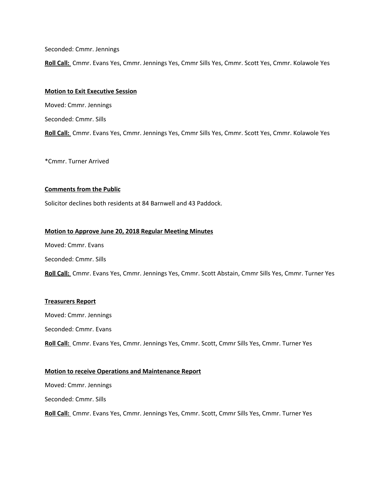Seconded: Cmmr. Jennings

**Roll Call:** Cmmr. Evans Yes, Cmmr. Jennings Yes, Cmmr Sills Yes, Cmmr. Scott Yes, Cmmr. Kolawole Yes

## **Motion to Exit Executive Session**

Moved: Cmmr. Jennings

Seconded: Cmmr. Sills

**Roll Call:** Cmmr. Evans Yes, Cmmr. Jennings Yes, Cmmr Sills Yes, Cmmr. Scott Yes, Cmmr. Kolawole Yes

\*Cmmr. Turner Arrived

# **Comments from the Public**

Solicitor declines both residents at 84 Barnwell and 43 Paddock.

# **Motion to Approve June 20, 2018 Regular Meeting Minutes**

Moved: Cmmr. Evans

Seconded: Cmmr. Sills

**Roll Call:** Cmmr. Evans Yes, Cmmr. Jennings Yes, Cmmr. Scott Abstain, Cmmr Sills Yes, Cmmr. Turner Yes

# **Treasurers Report**

Moved: Cmmr. Jennings Seconded: Cmmr. Evans **Roll Call:** Cmmr. Evans Yes, Cmmr. Jennings Yes, Cmmr. Scott, Cmmr Sills Yes, Cmmr. Turner Yes

## **Motion to receive Operations and Maintenance Report**

Moved: Cmmr. Jennings

Seconded: Cmmr. Sills

**Roll Call:** Cmmr. Evans Yes, Cmmr. Jennings Yes, Cmmr. Scott, Cmmr Sills Yes, Cmmr. Turner Yes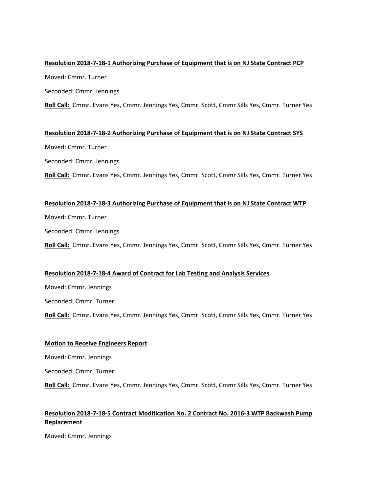# **Resolution 2018-7-18-1 Authorizing Purchase of Equipment that is on NJ State Contract PCP**

Moved: Cmmr. Turner

Seconded: Cmmr. Jennings

**Roll Call:** Cmmr. Evans Yes, Cmmr. Jennings Yes, Cmmr. Scott, Cmmr Sills Yes, Cmmr. Turner Yes

# **Resolution 2018-7-18-2 Authorizing Purchase of Equipment that is on NJ State Contract SYS**

Moved: Cmmr. Turner

Seconded: Cmmr. Jennings

**Roll Call:** Cmmr. Evans Yes, Cmmr. Jennings Yes, Cmmr. Scott, Cmmr Sills Yes, Cmmr. Turner Yes

# **Resolution 2018-7-18-3 Authorizing Purchase of Equipment that is on NJ State Contract WTP**

Moved: Cmmr. Turner

Seconded: Cmmr. Jennings

**Roll Call:** Cmmr. Evans Yes, Cmmr. Jennings Yes, Cmmr. Scott, Cmmr Sills Yes, Cmmr. Turner Yes

# **Resolution 2018-7-18-4 Award of Contract for Lab Testing and Analysis Services**

Moved: Cmmr. Jennings Seconded: Cmmr. Turner **Roll Call:** Cmmr. Evans Yes, Cmmr. Jennings Yes, Cmmr. Scott, Cmmr Sills Yes, Cmmr. Turner Yes

## **Motion to Receive Engineers Report**

Moved: Cmmr. Jennings

Seconded: Cmmr. Turner

**Roll Call:** Cmmr. Evans Yes, Cmmr. Jennings Yes, Cmmr. Scott, Cmmr Sills Yes, Cmmr. Turner Yes

# **Resolution 2018-7-18-5 Contract Modification No. 2 Contract No. 2016-3 WTP Backwash Pump Replacement**

Moved: Cmmr. Jennings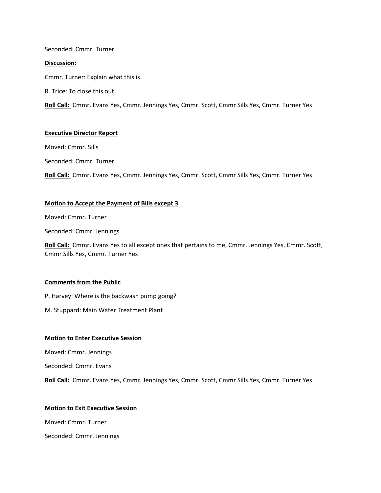## Seconded: Cmmr. Turner

#### **Discussion:**

Cmmr. Turner: Explain what this is.

R. Trice: To close this out

**Roll Call:** Cmmr. Evans Yes, Cmmr. Jennings Yes, Cmmr. Scott, Cmmr Sills Yes, Cmmr. Turner Yes

## **Executive Director Report**

Moved: Cmmr. Sills

Seconded: Cmmr. Turner

**Roll Call:** Cmmr. Evans Yes, Cmmr. Jennings Yes, Cmmr. Scott, Cmmr Sills Yes, Cmmr. Turner Yes

#### **Motion to Accept the Payment of Bills except 3**

Moved: Cmmr. Turner

Seconded: Cmmr. Jennings

**Roll Call:** Cmmr. Evans Yes to all except ones that pertains to me, Cmmr. Jennings Yes, Cmmr. Scott, Cmmr Sills Yes, Cmmr. Turner Yes

## **Comments from the Public**

P. Harvey: Where is the backwash pump going?

M. Stuppard: Main Water Treatment Plant

## **Motion to Enter Executive Session**

Moved: Cmmr. Jennings

Seconded: Cmmr. Evans

**Roll Call:** Cmmr. Evans Yes, Cmmr. Jennings Yes, Cmmr. Scott, Cmmr Sills Yes, Cmmr. Turner Yes

#### **Motion to Exit Executive Session**

Moved: Cmmr. Turner

Seconded: Cmmr. Jennings